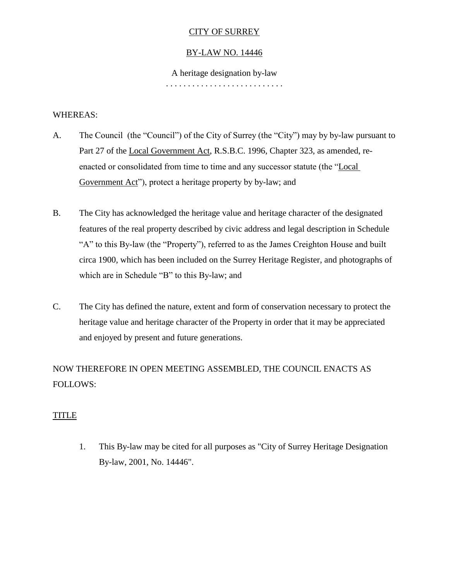# CITY OF SURREY

## BY-LAW NO. 14446

A heritage designation by-law

#### . . . . . . . . . . . . . . . . . . . . . . . . . . .

### WHEREAS:

- A. The Council (the "Council") of the City of Surrey (the "City") may by by-law pursuant to Part 27 of the Local Government Act, R.S.B.C. 1996, Chapter 323, as amended, reenacted or consolidated from time to time and any successor statute (the "Local Government Act"), protect a heritage property by by-law; and
- B. The City has acknowledged the heritage value and heritage character of the designated features of the real property described by civic address and legal description in Schedule "A" to this By-law (the "Property"), referred to as the James Creighton House and built circa 1900, which has been included on the Surrey Heritage Register, and photographs of which are in Schedule "B" to this By-law; and
- C. The City has defined the nature, extent and form of conservation necessary to protect the heritage value and heritage character of the Property in order that it may be appreciated and enjoyed by present and future generations.

NOW THEREFORE IN OPEN MEETING ASSEMBLED, THE COUNCIL ENACTS AS FOLLOWS:

## TITLE

1. This By-law may be cited for all purposes as "City of Surrey Heritage Designation By-law, 2001, No. 14446".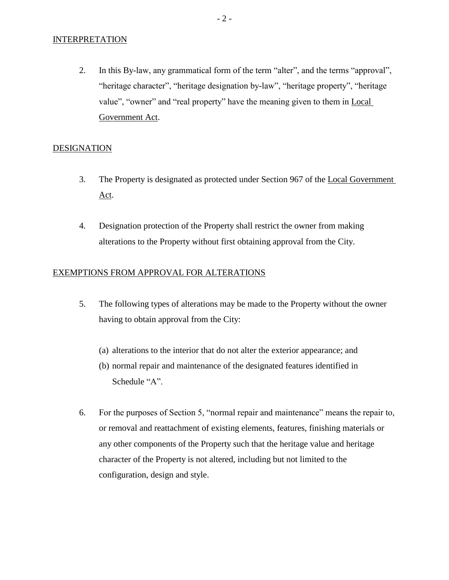#### **INTERPRETATION**

2. In this By-law, any grammatical form of the term "alter", and the terms "approval", "heritage character", "heritage designation by-law", "heritage property", "heritage value", "owner" and "real property" have the meaning given to them in Local Government Act.

### **DESIGNATION**

- 3. The Property is designated as protected under Section 967 of the Local Government Act.
- 4. Designation protection of the Property shall restrict the owner from making alterations to the Property without first obtaining approval from the City.

#### EXEMPTIONS FROM APPROVAL FOR ALTERATIONS

- 5. The following types of alterations may be made to the Property without the owner having to obtain approval from the City:
	- (a) alterations to the interior that do not alter the exterior appearance; and
	- (b) normal repair and maintenance of the designated features identified in Schedule "A".
- 6. For the purposes of Section 5, "normal repair and maintenance" means the repair to, or removal and reattachment of existing elements, features, finishing materials or any other components of the Property such that the heritage value and heritage character of the Property is not altered, including but not limited to the configuration, design and style.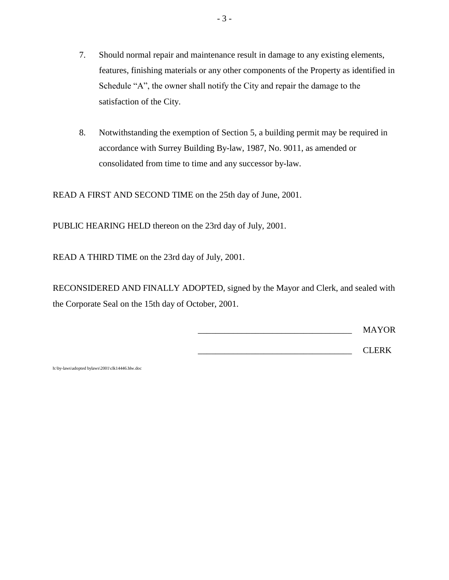- 7. Should normal repair and maintenance result in damage to any existing elements, features, finishing materials or any other components of the Property as identified in Schedule "A", the owner shall notify the City and repair the damage to the satisfaction of the City.
- 8. Notwithstanding the exemption of Section 5, a building permit may be required in accordance with Surrey Building By-law, 1987, No. 9011, as amended or consolidated from time to time and any successor by-law.

READ A FIRST AND SECOND TIME on the 25th day of June, 2001.

PUBLIC HEARING HELD thereon on the 23rd day of July, 2001.

READ A THIRD TIME on the 23rd day of July, 2001.

RECONSIDERED AND FINALLY ADOPTED, signed by the Mayor and Clerk, and sealed with the Corporate Seal on the 15th day of October, 2001.

\_\_\_\_\_\_\_\_\_\_\_\_\_\_\_\_\_\_\_\_\_\_\_\_\_\_\_\_\_\_\_\_\_\_\_ MAYOR

 $CLERK$ 

h:\by-laws\adopted bylaws\2001\clk14446.blw.doc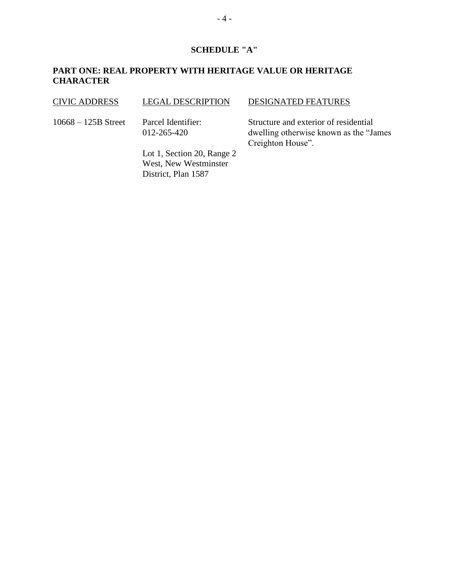## **SCHEDULE "A"**

## **PART ONE: REAL PROPERTY WITH HERITAGE VALUE OR HERITAGE CHARACTER**

### CIVIC ADDRESS LEGAL DESCRIPTION DESIGNATED FEATURES

10668 – 125B Street Parcel Identifier:

012-265-420

Lot 1, Section 20, Range 2 West, New Westminster District, Plan 1587

Structure and exterior of residential dwelling otherwise known as the "James Creighton House".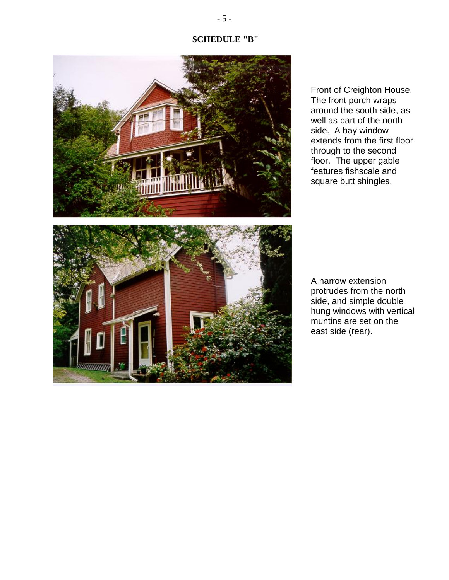## **SCHEDULE "B"**



Front of Creighton House. The front porch wraps around the south side, as well as part of the north side. A bay window extends from the first floor through to the second floor. The upper gable features fishscale and square butt shingles.